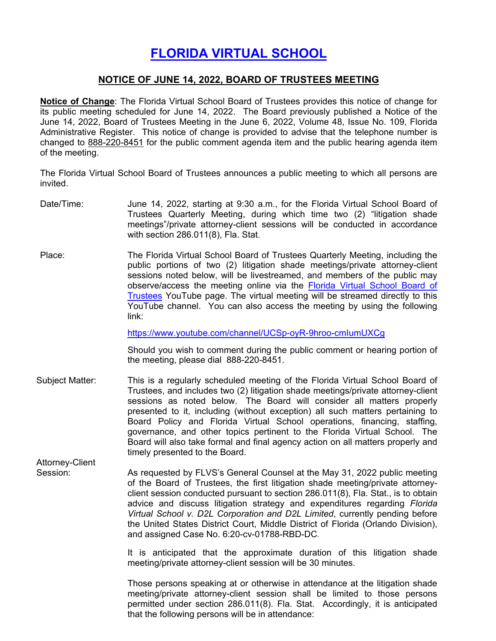## **[FLORIDA VIRTUAL SCHOOL](https://www.flrules.org/gateway/organization.asp?id=1357)**

## **NOTICE OF JUNE 14, 2022, BOARD OF TRUSTEES MEETING**

**Notice of Change**: The Florida Virtual School Board of Trustees provides this notice of change for its public meeting scheduled for June 14, 2022. The Board previously published a Notice of the June 14, 2022, Board of Trustees Meeting in the June 6, 2022, Volume 48, Issue No. 109, Florida Administrative Register. This notice of change is provided to advise that the telephone number is changed to 888-220-8451 for the public comment agenda item and the public hearing agenda item of the meeting.

The Florida Virtual School Board of Trustees announces a public meeting to which all persons are invited.

- Date/Time: June 14, 2022, starting at 9:30 a.m., for the Florida Virtual School Board of Trustees Quarterly Meeting, during which time two (2) "litigation shade meetings"/private attorney-client sessions will be conducted in accordance with section 286.011(8), Fla. Stat.
- Place: The Florida Virtual School Board of Trustees Quarterly Meeting, including the public portions of two (2) litigation shade meetings/private attorney-client sessions noted below, will be livestreamed, and members of the public may observe/access the meeting online via the [Florida Virtual School Board of](https://www.youtube.com/channel/UCSp-oyR-9hroo-cmIumUXCg)  [Trustees](https://www.youtube.com/channel/UCSp-oyR-9hroo-cmIumUXCg) YouTube page. The virtual meeting will be streamed directly to this YouTube channel. You can also access the meeting by using the following link:

<https://www.youtube.com/channel/UCSp-oyR-9hroo-cmIumUXCg>

Should you wish to comment during the public comment or hearing portion of the meeting, please dial 888-220-8451.

- Subject Matter: This is a regularly scheduled meeting of the Florida Virtual School Board of Trustees, and includes two (2) litigation shade meetings/private attorney-client sessions as noted below. The Board will consider all matters properly presented to it, including (without exception) all such matters pertaining to Board Policy and Florida Virtual School operations, financing, staffing, governance, and other topics pertinent to the Florida Virtual School. The Board will also take formal and final agency action on all matters properly and timely presented to the Board.
- Attorney-Client Session: As requested by FLVS's General Counsel at the May 31, 2022 public meeting of the Board of Trustees, the first litigation shade meeting/private attorneyclient session conducted pursuant to section 286.011(8), Fla. Stat., is to obtain advice and discuss litigation strategy and expenditures regarding *Florida Virtual School v. D2L Corporation and D2L Limited*, currently pending before the United States District Court, Middle District of Florida (Orlando Division), and assigned Case No. 6:20-cv-01788-RBD-DC.

It is anticipated that the approximate duration of this litigation shade meeting/private attorney-client session will be 30 minutes.

Those persons speaking at or otherwise in attendance at the litigation shade meeting/private attorney-client session shall be limited to those persons permitted under section 286.011(8). Fla. Stat. Accordingly, it is anticipated that the following persons will be in attendance: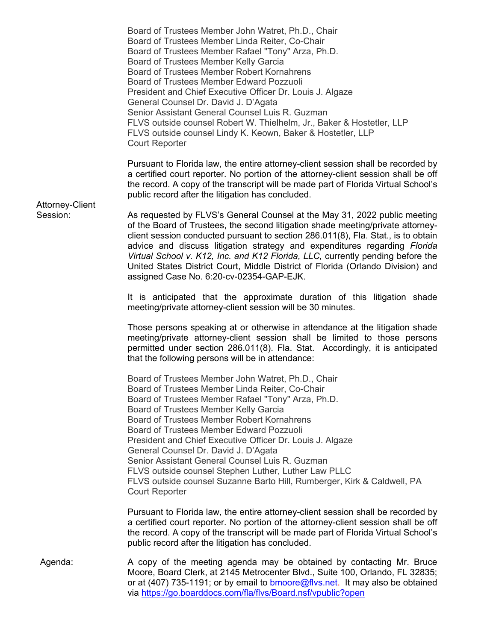Board of Trustees Member John Watret, Ph.D., Chair Board of Trustees Member Linda Reiter, Co-Chair Board of Trustees Member Rafael "Tony" Arza, Ph.D. Board of Trustees Member Kelly Garcia Board of Trustees Member Robert Kornahrens Board of Trustees Member Edward Pozzuoli President and Chief Executive Officer Dr. Louis J. Algaze General Counsel Dr. David J. D'Agata Senior Assistant General Counsel Luis R. Guzman FLVS outside counsel Robert W. Thielhelm, Jr., Baker & Hostetler, LLP FLVS outside counsel Lindy K. Keown, Baker & Hostetler, LLP Court Reporter

Pursuant to Florida law, the entire attorney-client session shall be recorded by a certified court reporter. No portion of the attorney-client session shall be off the record. A copy of the transcript will be made part of Florida Virtual School's public record after the litigation has concluded.

Attorney-Client

Session: As requested by FLVS's General Counsel at the May 31, 2022 public meeting of the Board of Trustees, the second litigation shade meeting/private attorneyclient session conducted pursuant to section 286.011(8), Fla. Stat., is to obtain advice and discuss litigation strategy and expenditures regarding *Florida Virtual School v. K12, Inc. and K12 Florida, LLC,* currently pending before the United States District Court, Middle District of Florida (Orlando Division) and assigned Case No. 6:20-cv-02354-GAP-EJK.

> It is anticipated that the approximate duration of this litigation shade meeting/private attorney-client session will be 30 minutes.

> Those persons speaking at or otherwise in attendance at the litigation shade meeting/private attorney-client session shall be limited to those persons permitted under section 286.011(8). Fla. Stat. Accordingly, it is anticipated that the following persons will be in attendance:

Board of Trustees Member John Watret, Ph.D., Chair Board of Trustees Member Linda Reiter, Co-Chair Board of Trustees Member Rafael "Tony" Arza, Ph.D. Board of Trustees Member Kelly Garcia Board of Trustees Member Robert Kornahrens Board of Trustees Member Edward Pozzuoli President and Chief Executive Officer Dr. Louis J. Algaze General Counsel Dr. David J. D'Agata Senior Assistant General Counsel Luis R. Guzman FLVS outside counsel Stephen Luther, Luther Law PLLC FLVS outside counsel Suzanne Barto Hill, Rumberger, Kirk & Caldwell, PA Court Reporter

Pursuant to Florida law, the entire attorney-client session shall be recorded by a certified court reporter. No portion of the attorney-client session shall be off the record. A copy of the transcript will be made part of Florida Virtual School's public record after the litigation has concluded.

Agenda: A copy of the meeting agenda may be obtained by contacting Mr. Bruce Moore, Board Clerk, at 2145 Metrocenter Blvd., Suite 100, Orlando, FL 32835; or at (407) 735-1191; or by email to [bmoore@flvs.net.](mailto:bmoore@flvs.net) It may also be obtained via<https://go.boarddocs.com/fla/flvs/Board.nsf/vpublic?open>